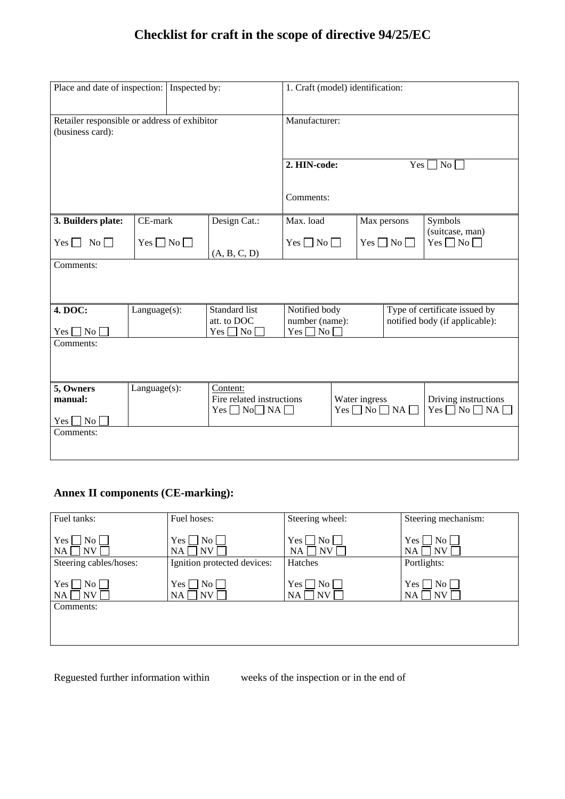# **Checklist for craft in the scope of directive 94/25/EC**

| Place and date of inspection: Inspected by:                      |                    |  |                                                                     | 1. Craft (model) identification:                               |                                             |                                                                 |                                                    |  |
|------------------------------------------------------------------|--------------------|--|---------------------------------------------------------------------|----------------------------------------------------------------|---------------------------------------------|-----------------------------------------------------------------|----------------------------------------------------|--|
| Retailer responsible or address of exhibitor<br>(business card): |                    |  | Manufacturer:                                                       |                                                                |                                             |                                                                 |                                                    |  |
|                                                                  |                    |  |                                                                     | 2. HIN-code:<br>Yes<br>$\sqcap$ No $\sqcap$                    |                                             |                                                                 |                                                    |  |
|                                                                  |                    |  |                                                                     | Comments:                                                      |                                             |                                                                 |                                                    |  |
| 3. Builders plate:                                               | CE-mark            |  | Design Cat.:                                                        | Max. load                                                      |                                             | Max persons                                                     | Symbols                                            |  |
| $Yes \Box No \Box$                                               | $Yes \Box No \Box$ |  | (A, B, C, D)                                                        | $Yes \Box No \Box$                                             | $Yes \Box No \Box$                          |                                                                 | (suitcase, man)<br>$Yes \Box No \Box$              |  |
| Comments:                                                        |                    |  |                                                                     |                                                                |                                             |                                                                 |                                                    |  |
|                                                                  |                    |  |                                                                     |                                                                |                                             |                                                                 |                                                    |  |
| 4. DOC:<br>$Yes \Box No$                                         | $Language(s)$ :    |  | Standard list<br>att. to DOC<br>$Yes \Box No \Box$                  | Notified body<br>number (name):<br>$\overline{N_{0}}$<br>Yes [ |                                             | Type of certificate issued by<br>notified body (if applicable): |                                                    |  |
| Comments:                                                        |                    |  |                                                                     |                                                                |                                             |                                                                 |                                                    |  |
|                                                                  |                    |  |                                                                     |                                                                |                                             |                                                                 |                                                    |  |
| 5, Owners<br>manual:<br>$Yes \Box No$                            | $Language(s)$ :    |  | Content:<br>Fire related instructions<br>$Yes \Box No \Box NA \Box$ |                                                                | Water ingress<br>$Yes \Box No \Box NA \Box$ |                                                                 | Driving instructions<br>$Yes \Box No \Box NA \Box$ |  |
| Comments:                                                        |                    |  |                                                                     |                                                                |                                             |                                                                 |                                                    |  |

## **Annex II components (CE-marking):**

| Fuel tanks:                                     | Fuel hoses:                                    | Steering wheel:                             | Steering mechanism:                      |
|-------------------------------------------------|------------------------------------------------|---------------------------------------------|------------------------------------------|
| Yes  <br>No <sub>1</sub><br><b>NV</b><br>NA.    | $\overline{N_{O}}$<br>Yes  <br><b>NV</b><br>NA | Yes  <br>No l<br>$\overline{\rm NV}$<br>NA  | No <br>Yes<br><b>NV</b><br>NA            |
| Steering cables/hoses:                          | Ignition protected devices:                    | Hatches                                     | Portlights:                              |
| Yes  <br>$\sqrt{-1}$ No $\sqrt{-1}$<br>NV<br>NA | $\Box$ No $\Box$<br>Yes  <br>NV<br>NA          | $\overline{\rm{No}}$<br>Yes  <br>NV  <br>NA | $ N_0 $<br>Yes l<br>NV <sub></sub><br>NA |
| Comments:                                       |                                                |                                             |                                          |
|                                                 |                                                |                                             |                                          |
|                                                 |                                                |                                             |                                          |

Reguested further information within weeks of the inspection or in the end of